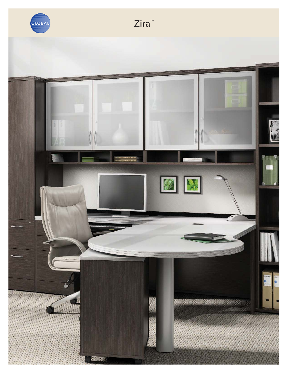

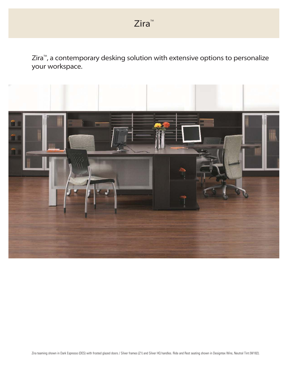$Zira^{\mathbb{M}}$ , a contemporary desking solution with extensive options to personalize your workspace.

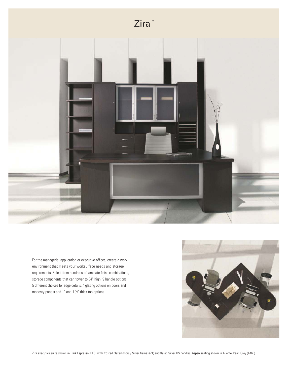



For the managerial application or executive offices, create a work environment that meets your worksurface needs and storage requirements. Select from hundreds of laminate finish combinations, storage components that can tower to 84" high, 9 handle options, 5 different choices for edge details, 4 glazing options on doors and modesty panels and 1" and 1 ½" thick top options.

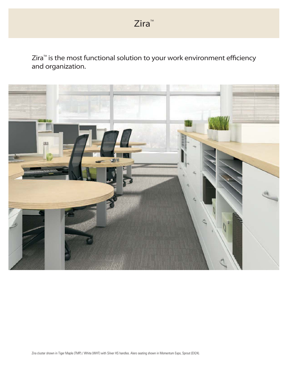$\mathsf{Zira}^{\mathsf{m}}$  is the most functional solution to your work environment efficiency and organization.

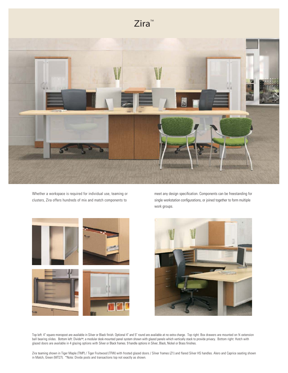## $Z$ ira<sup>M</sup>



Whether a workspace is required for individual use, teaming or clusters, Zira offers hundreds of mix and match components to







Top left: 4" square monopost are available in Silver or Black finish. Optional 4" and 5" round are available at no extra charge. Top right: Box drawers are mounted on 34 extension ball bearing slides. Bottom left: Divide™, a modular desk-mounted panel system shown with glazed panels which vertically stack to provide privacy. Bottom right: Hutch with glazed doors are available in 4 glazing options with Silver or Black frames. 9 handle options in Silver, Black, Nickel or Brass finishes.

Zira teaming shown in Tiger Maple (TMP) / Tiger Fruitwood (TFW) with frosted glazed doors / Silver frames (Z1) and flared Silver HS handles. Alero and Caprice seating shown in Match, Green (MT27). \*Note: Divide posts and transactions top not exactly as shown.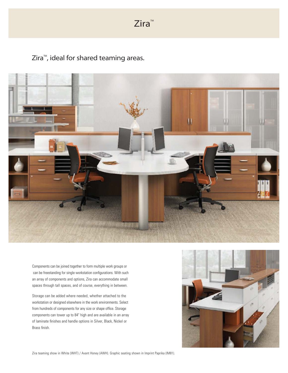$Zira^m$ 

 $Z$ ira<sup>m</sup>, ideal for shared teaming areas.



Components can be joined together to form multiple work groups or can be freestanding for single workstation configurations. With such an array of components and options, Zira can accommodate small spaces through tall spaces, and of course, everything in between.

Storage can be added where needed, whether attached to the workstation or designed elsewhere in the work environments. Select from hundreds of components for any size or shape office. Storage components can tower up to 84" high and are available in an array of laminate finishes and handle options in Silver, Black, Nickel or Brass finish.



Zira teaming show in White (WHT) / Avant Honey (AWH). Graphic seating shown in Imprint Paprika (IM81).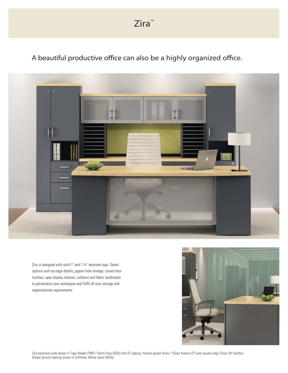A beautiful productive office can also be a highly organized office.



Zira is designed with solid 1" and 1 ½" laminate tops. Select options such as edge details, pigeon hole storage, closed door hutches, open display shelves, collators and fabric tackboards to personalize your workspace and fulfill all your storage and organizational requirements.



Zira executive suite shown in Tiger Maple (TMP) / Storm Grey (SOG) with CF edging, frosted glazed doors / Silver frames (Z1) and square edge Silver HV handles. Global Accord seating shown in Softhide, White Sand (SO45).